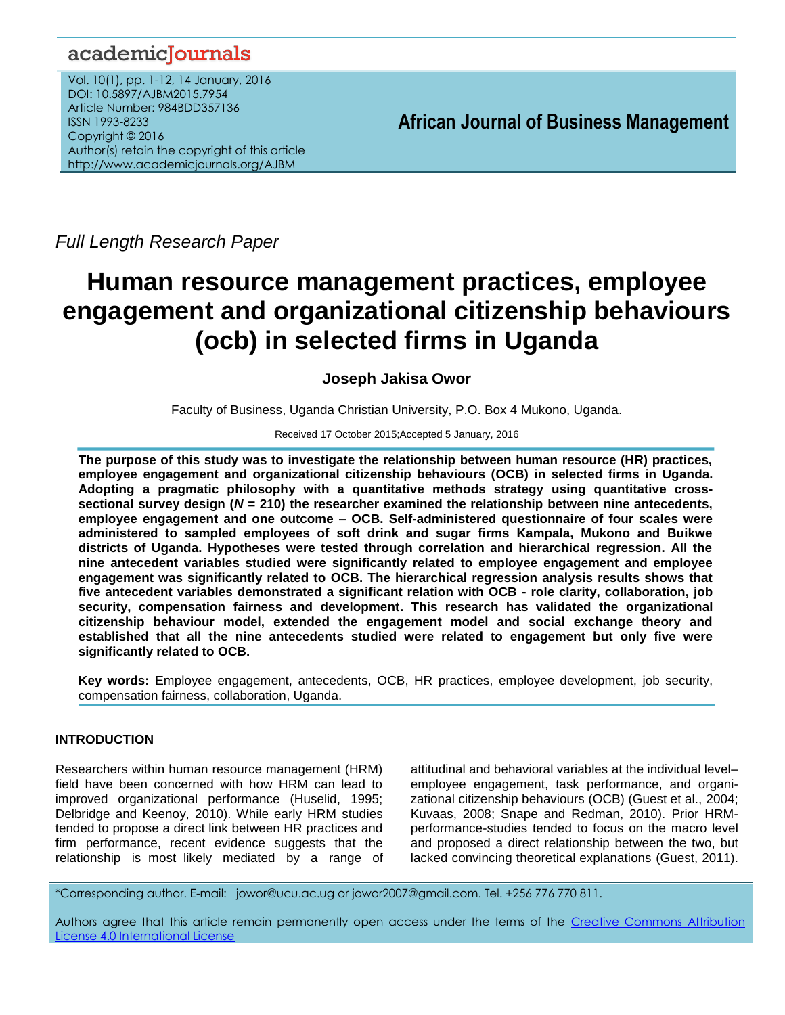# academicJournals

Vol. 10(1), pp. 1-12, 14 January, 2016 DOI: 10.5897/AJBM2015.7954 Article Number: 984BDD357136 ISSN 1993-8233 Copyright © 2016 Author(s) retain the copyright of this article http://www.academicjournals.org/AJBM

**African Journal of Business Management**

*Full Length Research Paper*

# **Human resource management practices, employee engagement and organizational citizenship behaviours (ocb) in selected firms in Uganda**

# **Joseph Jakisa Owor**

Faculty of Business, Uganda Christian University, P.O. Box 4 Mukono, Uganda.

#### Received 17 October 2015;Accepted 5 January, 2016

**The purpose of this study was to investigate the relationship between human resource (HR) practices, employee engagement and organizational citizenship behaviours (OCB) in selected firms in Uganda. Adopting a pragmatic philosophy with a quantitative methods strategy using quantitative crosssectional survey design (***N* **= 210) the researcher examined the relationship between nine antecedents, employee engagement and one outcome – OCB. Self-administered questionnaire of four scales were administered to sampled employees of soft drink and sugar firms Kampala, Mukono and Buikwe districts of Uganda. Hypotheses were tested through correlation and hierarchical regression. All the nine antecedent variables studied were significantly related to employee engagement and employee engagement was significantly related to OCB. The hierarchical regression analysis results shows that five antecedent variables demonstrated a significant relation with OCB - role clarity, collaboration, job security, compensation fairness and development. This research has validated the organizational citizenship behaviour model, extended the engagement model and social exchange theory and established that all the nine antecedents studied were related to engagement but only five were significantly related to OCB.**

**Key words:** Employee engagement, antecedents, OCB, HR practices, employee development, job security, compensation fairness, collaboration, Uganda.

# **INTRODUCTION**

Researchers within human resource management (HRM) field have been concerned with how HRM can lead to improved organizational performance (Huselid, 1995; Delbridge and Keenoy, 2010). While early HRM studies tended to propose a direct link between HR practices and firm performance, recent evidence suggests that the relationship is most likely mediated by a range of attitudinal and behavioral variables at the individual level– employee engagement, task performance, and organizational citizenship behaviours (OCB) (Guest et al., 2004; Kuvaas, 2008; Snape and Redman, 2010). Prior HRMperformance-studies tended to focus on the macro level and proposed a direct relationship between the two, but lacked convincing theoretical explanations (Guest, 2011).

\*Corresponding author. E-mail: [jowor@ucu.ac.ug](mailto:jowor@ucu.ac.ug) o[r jowor2007@gmail.com.](mailto:jowor2007@gmail.com) Tel. +256 776 770 811.

Authors agree that this article remain permanently open access under the terms of the Creative Commons Attribution [License 4.0 International License](file://192.168.1.24/reading%20data/ALL%20EDITED%20FOR%20PDF%20FOR%20ALL%20GROUPS/SOCIAL%20SCIENCES,%20ARTS,%20EDUCATION%20AND%20OTHERS/2016/1.January/11-1-16/AJBM-17.10.15-7954/Publication/Creative%20Commons%20Attribution%20License%204.0%20International%20License)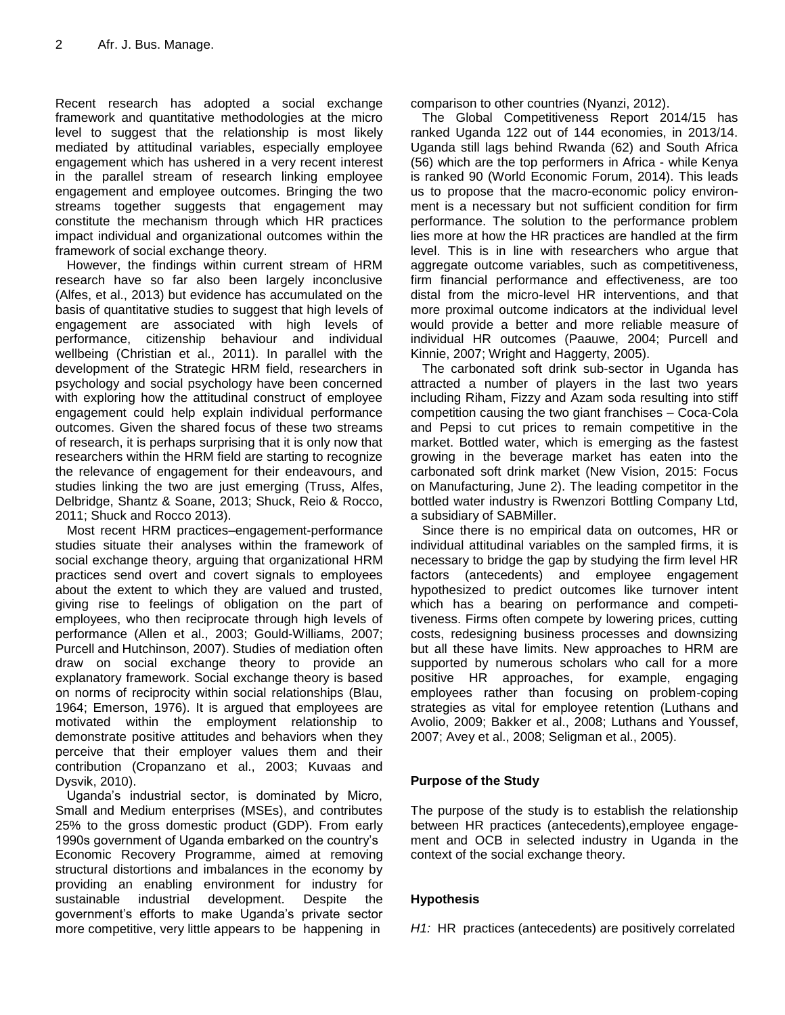Recent research has adopted a social exchange framework and quantitative methodologies at the micro level to suggest that the relationship is most likely mediated by attitudinal variables, especially employee engagement which has ushered in a very recent interest in the parallel stream of research linking employee engagement and employee outcomes. Bringing the two streams together suggests that engagement may constitute the mechanism through which HR practices impact individual and organizational outcomes within the framework of social exchange theory.

However, the findings within current stream of HRM research have so far also been largely inconclusive (Alfes, et al., 2013) but evidence has accumulated on the basis of quantitative studies to suggest that high levels of engagement are associated with high levels of performance, citizenship behaviour and individual wellbeing (Christian et al., 2011). In parallel with the development of the Strategic HRM field, researchers in psychology and social psychology have been concerned with exploring how the attitudinal construct of employee engagement could help explain individual performance outcomes. Given the shared focus of these two streams of research, it is perhaps surprising that it is only now that researchers within the HRM field are starting to recognize the relevance of engagement for their endeavours, and studies linking the two are just emerging (Truss, Alfes, Delbridge, Shantz & Soane, 2013; Shuck, Reio & Rocco, 2011; Shuck and Rocco 2013).

Most recent HRM practices–engagement-performance studies situate their analyses within the framework of social exchange theory, arguing that organizational HRM practices send overt and covert signals to employees about the extent to which they are valued and trusted, giving rise to feelings of obligation on the part of employees, who then reciprocate through high levels of performance (Allen et al., 2003; Gould-Williams, 2007; Purcell and Hutchinson, 2007). Studies of mediation often draw on social exchange theory to provide an explanatory framework. Social exchange theory is based on norms of reciprocity within social relationships (Blau, 1964; Emerson, 1976). It is argued that employees are motivated within the employment relationship to demonstrate positive attitudes and behaviors when they perceive that their employer values them and their contribution (Cropanzano et al., 2003; Kuvaas and Dysvik, 2010).

Uganda"s industrial sector, is dominated by Micro, Small and Medium enterprises (MSEs), and contributes 25% to the gross domestic product (GDP). From early 1990s government of Uganda embarked on the country"s Economic Recovery Programme, aimed at removing structural distortions and imbalances in the economy by providing an enabling environment for industry for sustainable industrial development. Despite the government"s efforts to make Uganda"s private sector more competitive, very little appears to be happening in

comparison to other countries (Nyanzi, 2012).

The Global Competitiveness Report 2014/15 has ranked Uganda 122 out of 144 economies, in 2013/14. Uganda still lags behind Rwanda (62) and South Africa (56) which are the top performers in Africa - while Kenya is ranked 90 (World Economic Forum, 2014). This leads us to propose that the macro-economic policy environment is a necessary but not sufficient condition for firm performance. The solution to the performance problem lies more at how the HR practices are handled at the firm level. This is in line with researchers who argue that aggregate outcome variables, such as competitiveness, firm financial performance and effectiveness, are too distal from the micro-level HR interventions, and that more proximal outcome indicators at the individual level would provide a better and more reliable measure of individual HR outcomes (Paauwe, 2004; Purcell and Kinnie, 2007; Wright and Haggerty, 2005).

The carbonated soft drink sub-sector in Uganda has attracted a number of players in the last two years including Riham, Fizzy and Azam soda resulting into stiff competition causing the two giant franchises – Coca-Cola and Pepsi to cut prices to remain competitive in the market. Bottled water, which is emerging as the fastest growing in the beverage market has eaten into the carbonated soft drink market (New Vision, 2015: Focus on Manufacturing, June 2). The leading competitor in the bottled water industry is Rwenzori Bottling Company Ltd, a subsidiary of SABMiller.

Since there is no empirical data on outcomes, HR or individual attitudinal variables on the sampled firms, it is necessary to bridge the gap by studying the firm level HR factors (antecedents) and employee engagement hypothesized to predict outcomes like turnover intent which has a bearing on performance and competitiveness. Firms often compete by lowering prices, cutting costs, redesigning business processes and downsizing but all these have limits. New approaches to HRM are supported by numerous scholars who call for a more positive HR approaches, for example, engaging employees rather than focusing on problem-coping strategies as vital for employee retention (Luthans and Avolio, 2009; Bakker et al., 2008; Luthans and Youssef, 2007; Avey et al., 2008; Seligman et al., 2005).

# **Purpose of the Study**

The purpose of the study is to establish the relationship between HR practices (antecedents),employee engagement and OCB in selected industry in Uganda in the context of the social exchange theory.

# **Hypothesis**

*H1:* HR practices (antecedents) are positively correlated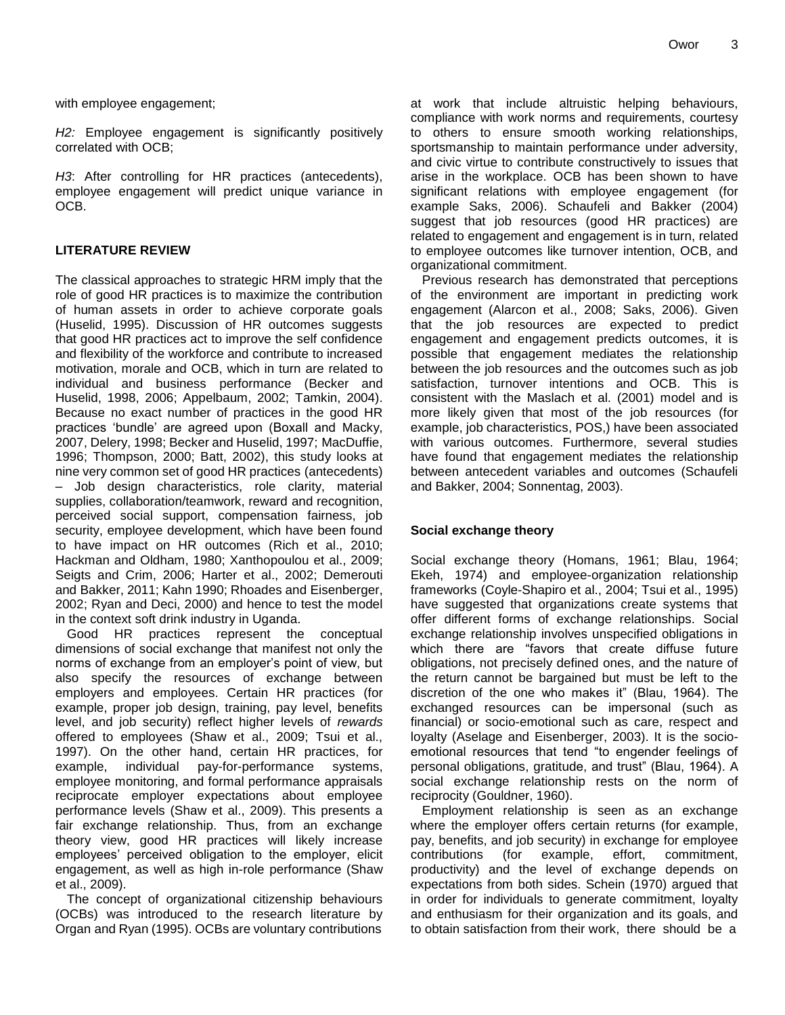with employee engagement;

*H2:* Employee engagement is significantly positively correlated with OCB;

*H3*: After controlling for HR practices (antecedents), employee engagement will predict unique variance in OCB.

#### **LITERATURE REVIEW**

The classical approaches to strategic HRM imply that the role of good HR practices is to maximize the contribution of human assets in order to achieve corporate goals (Huselid, 1995). Discussion of HR outcomes suggests that good HR practices act to improve the self confidence and flexibility of the workforce and contribute to increased motivation, morale and OCB, which in turn are related to individual and business performance (Becker and Huselid, 1998, 2006; Appelbaum, 2002; Tamkin, 2004). Because no exact number of practices in the good HR practices "bundle" are agreed upon (Boxall and Macky, 2007, Delery, 1998; Becker and Huselid, 1997; MacDuffie, 1996; Thompson, 2000; Batt, 2002), this study looks at nine very common set of good HR practices (antecedents) – Job design characteristics, role clarity, material supplies, collaboration/teamwork, reward and recognition, perceived social support, compensation fairness, job security, employee development, which have been found to have impact on HR outcomes (Rich et al., 2010; Hackman and Oldham, 1980; Xanthopoulou et al., 2009; Seigts and Crim, 2006; Harter et al., 2002; Demerouti and Bakker, 2011; Kahn 1990; Rhoades and Eisenberger, 2002; Ryan and Deci, 2000) and hence to test the model in the context soft drink industry in Uganda.

Good HR practices represent the conceptual dimensions of social exchange that manifest not only the norms of exchange from an employer"s point of view, but also specify the resources of exchange between employers and employees. Certain HR practices (for example, proper job design, training, pay level, benefits level, and job security) reflect higher levels of *rewards* offered to employees (Shaw et al., 2009; Tsui et al., 1997). On the other hand, certain HR practices, for example, individual pay-for-performance systems, employee monitoring, and formal performance appraisals reciprocate employer expectations about employee performance levels (Shaw et al., 2009). This presents a fair exchange relationship. Thus, from an exchange theory view, good HR practices will likely increase employees" perceived obligation to the employer, elicit engagement, as well as high in-role performance (Shaw et al., 2009).

The concept of organizational citizenship behaviours (OCBs) was introduced to the research literature by Organ and Ryan (1995). OCBs are voluntary contributions

at work that include altruistic helping behaviours, compliance with work norms and requirements, courtesy to others to ensure smooth working relationships, sportsmanship to maintain performance under adversity, and civic virtue to contribute constructively to issues that arise in the workplace. OCB has been shown to have significant relations with employee engagement (for example Saks, 2006). Schaufeli and Bakker (2004) suggest that job resources (good HR practices) are related to engagement and engagement is in turn, related to employee outcomes like turnover intention, OCB, and organizational commitment.

Previous research has demonstrated that perceptions of the environment are important in predicting work engagement (Alarcon et al., 2008; Saks, 2006). Given that the job resources are expected to predict engagement and engagement predicts outcomes, it is possible that engagement mediates the relationship between the job resources and the outcomes such as job satisfaction, turnover intentions and OCB. This is consistent with the Maslach et al. (2001) model and is more likely given that most of the job resources (for example, job characteristics, POS,) have been associated with various outcomes. Furthermore, several studies have found that engagement mediates the relationship between antecedent variables and outcomes (Schaufeli and Bakker, 2004; Sonnentag, 2003).

#### **Social exchange theory**

Social exchange theory (Homans, 1961; Blau, 1964; Ekeh, 1974) and employee-organization relationship frameworks (Coyle-Shapiro et al., 2004; Tsui et al., 1995) have suggested that organizations create systems that offer different forms of exchange relationships. Social exchange relationship involves unspecified obligations in which there are "favors that create diffuse future obligations, not precisely defined ones, and the nature of the return cannot be bargained but must be left to the discretion of the one who makes it" (Blau, 1964). The exchanged resources can be impersonal (such as financial) or socio-emotional such as care, respect and loyalty (Aselage and Eisenberger, 2003). It is the socioemotional resources that tend "to engender feelings of personal obligations, gratitude, and trust" (Blau, 1964). A social exchange relationship rests on the norm of reciprocity (Gouldner, 1960).

Employment relationship is seen as an exchange where the employer offers certain returns (for example, pay, benefits, and job security) in exchange for employee contributions (for example, effort, commitment, productivity) and the level of exchange depends on expectations from both sides. Schein (1970) argued that in order for individuals to generate commitment, loyalty and enthusiasm for their organization and its goals, and to obtain satisfaction from their work, there should be a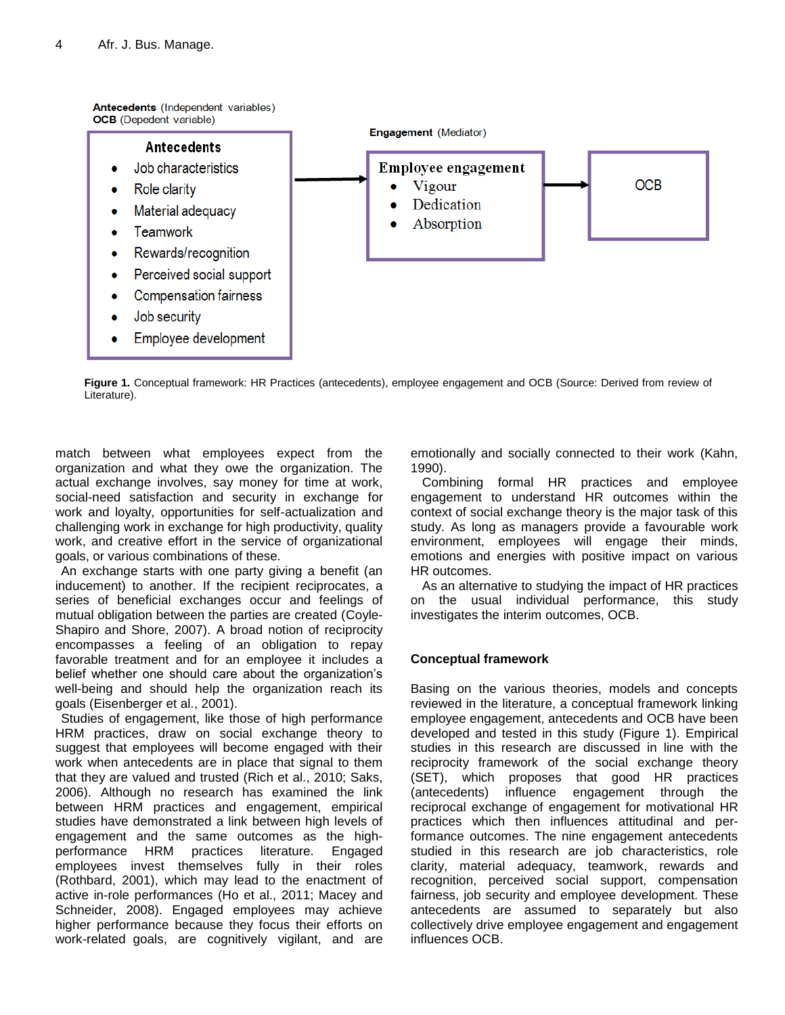

**Figure 1.** Conceptual framework: HR Practices (antecedents), employee engagement and OCB (Source: Derived from review of Literature).

match between what employees expect from the organization and what they owe the organization. The actual exchange involves, say money for time at work, social-need satisfaction and security in exchange for work and loyalty, opportunities for self-actualization and challenging work in exchange for high productivity, quality work, and creative effort in the service of organizational goals, or various combinations of these.

An exchange starts with one party giving a benefit (an inducement) to another. If the recipient reciprocates, a series of beneficial exchanges occur and feelings of mutual obligation between the parties are created (Coyle-Shapiro and Shore, 2007). A broad notion of reciprocity encompasses a feeling of an obligation to repay favorable treatment and for an employee it includes a belief whether one should care about the organization's well-being and should help the organization reach its goals (Eisenberger et al., 2001).

Studies of engagement, like those of high performance HRM practices, draw on social exchange theory to suggest that employees will become engaged with their work when antecedents are in place that signal to them that they are valued and trusted (Rich et al., 2010; Saks, 2006). Although no research has examined the link between HRM practices and engagement, empirical studies have demonstrated a link between high levels of engagement and the same outcomes as the highperformance HRM practices literature. Engaged employees invest themselves fully in their roles (Rothbard, 2001), which may lead to the enactment of active in-role performances (Ho et al., 2011; Macey and Schneider, 2008). Engaged employees may achieve higher performance because they focus their efforts on work-related goals, are cognitively vigilant, and are emotionally and socially connected to their work (Kahn, 1990).

Combining formal HR practices and employee engagement to understand HR outcomes within the context of social exchange theory is the major task of this study. As long as managers provide a favourable work environment, employees will engage their minds, emotions and energies with positive impact on various HR outcomes.

As an alternative to studying the impact of HR practices on the usual individual performance, this study investigates the interim outcomes, OCB.

# **Conceptual framework**

Basing on the various theories, models and concepts reviewed in the literature, a conceptual framework linking employee engagement, antecedents and OCB have been developed and tested in this study (Figure 1). Empirical studies in this research are discussed in line with the reciprocity framework of the social exchange theory (SET), which proposes that good HR practices (antecedents) influence engagement through the reciprocal exchange of engagement for motivational HR practices which then influences attitudinal and performance outcomes. The nine engagement antecedents studied in this research are job characteristics, role clarity, material adequacy, teamwork, rewards and recognition, perceived social support, compensation fairness, job security and employee development. These antecedents are assumed to separately but also collectively drive employee engagement and engagement influences OCB.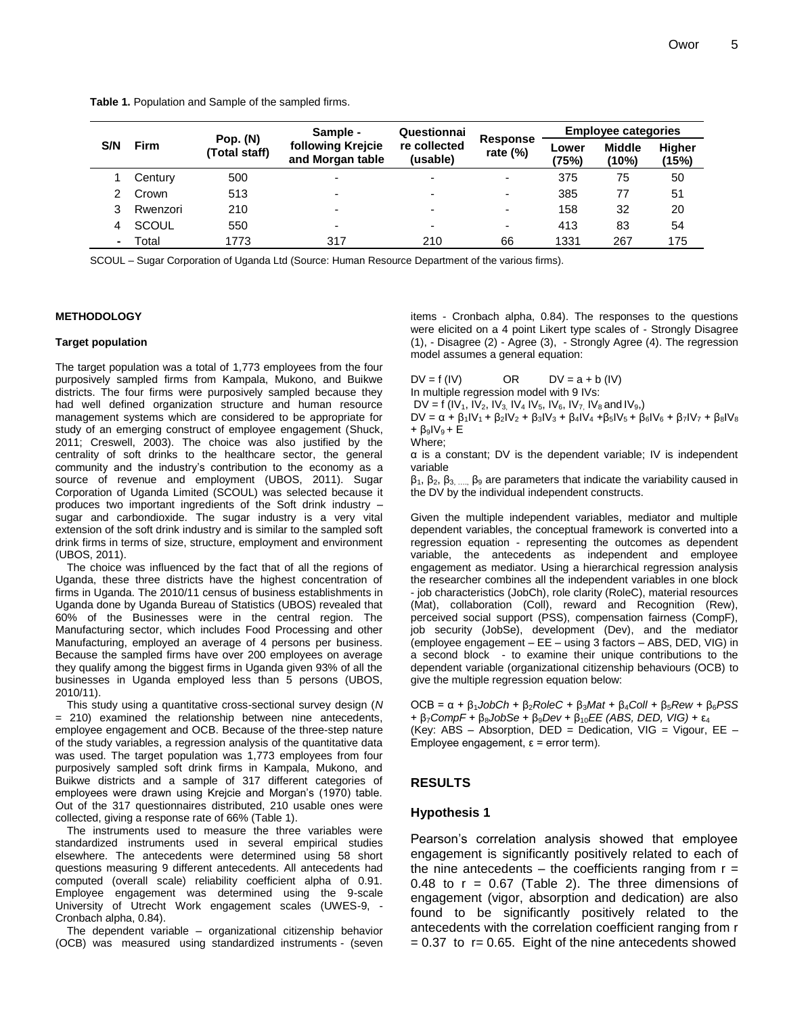**Table 1.** Population and Sample of the sampled firms.

|     | <b>Firm</b> | Pop. (N)<br>(Total staff) | Sample -                              | Questionnai              |                          | <b>Employee categories</b> |                           |                        |
|-----|-------------|---------------------------|---------------------------------------|--------------------------|--------------------------|----------------------------|---------------------------|------------------------|
| S/N |             |                           | following Krejcie<br>and Morgan table | re collected<br>(usable) | Response<br>rate $(\%)$  | Lower<br>(75%)             | <b>Middle</b><br>$(10\%)$ | <b>Higher</b><br>(15%) |
|     | Century     | 500                       |                                       | -                        | $\overline{\phantom{0}}$ | 375                        | 75                        | 50                     |
|     | Crown       | 513                       |                                       | ٠                        | $\overline{\phantom{0}}$ | 385                        | 77                        | 51                     |
|     | Rwenzori    | 210                       |                                       | -                        | $\overline{\phantom{0}}$ | 158                        | 32                        | 20                     |
| 4   | SCOUL       | 550                       | -                                     | -                        | $\overline{\phantom{0}}$ | 413                        | 83                        | 54                     |
|     | Total       | 1773                      | 317                                   | 210                      | 66                       | 1331                       | 267                       | 175                    |

SCOUL – Sugar Corporation of Uganda Ltd (Source: Human Resource Department of the various firms).

#### **METHODOLOGY**

#### **Target population**

The target population was a total of 1,773 employees from the four purposively sampled firms from Kampala, Mukono, and Buikwe districts. The four firms were purposively sampled because they had well defined organization structure and human resource management systems which are considered to be appropriate for study of an emerging construct of employee engagement (Shuck, 2011; Creswell, 2003). The choice was also justified by the centrality of soft drinks to the healthcare sector, the general community and the industry"s contribution to the economy as a source of revenue and employment (UBOS, 2011). Sugar Corporation of Uganda Limited (SCOUL) was selected because it produces two important ingredients of the Soft drink industry – sugar and carbondioxide. The sugar industry is a very vital extension of the soft drink industry and is similar to the sampled soft drink firms in terms of size, structure, employment and environment (UBOS, 2011).

The choice was influenced by the fact that of all the regions of Uganda, these three districts have the highest concentration of firms in Uganda. The 2010/11 census of business establishments in Uganda done by Uganda Bureau of Statistics (UBOS) revealed that 60% of the Businesses were in the central region. The Manufacturing sector, which includes Food Processing and other Manufacturing, employed an average of 4 persons per business. Because the sampled firms have over 200 employees on average they qualify among the biggest firms in Uganda given 93% of all the businesses in Uganda employed less than 5 persons (UBOS, 2010/11).

This study using a quantitative cross-sectional survey design (*N*  = 210) examined the relationship between nine antecedents, employee engagement and OCB. Because of the three-step nature of the study variables, a regression analysis of the quantitative data was used. The target population was 1,773 employees from four purposively sampled soft drink firms in Kampala, Mukono, and Buikwe districts and a sample of 317 different categories of employees were drawn using Krejcie and Morgan's (1970) table. Out of the 317 questionnaires distributed, 210 usable ones were collected, giving a response rate of 66% (Table 1).

The instruments used to measure the three variables were standardized instruments used in several empirical studies elsewhere. The antecedents were determined using 58 short questions measuring 9 different antecedents. All antecedents had computed (overall scale) reliability coefficient alpha of 0.91. Employee engagement was determined using the 9-scale University of Utrecht Work engagement scales (UWES-9, - Cronbach alpha, 0.84).

The dependent variable – organizational citizenship behavior (OCB) was measured using standardized instruments - (seven items - Cronbach alpha, 0.84). The responses to the questions were elicited on a 4 point Likert type scales of - Strongly Disagree (1), - Disagree (2) - Agree (3), - Strongly Agree (4). The regression model assumes a general equation:

 $DV = f (IV)$  OR  $DV = a + b (IV)$ 

In multiple regression model with 9 IVs:

 $DV = f (IV_1, IV_2, IV_3, IV_4, IV_5, IV_6, IV_7, IV_8, and IV_9)$ 

DV =  $\alpha$  +  $\beta_1$ IV<sub>1</sub> +  $\beta_2$ IV<sub>2</sub> +  $\beta_3$ IV<sub>3</sub> +  $\beta_4$ IV<sub>4</sub> +  $\beta_5$ IV<sub>5</sub> +  $\beta_6$ IV<sub>6</sub> +  $\beta_7$ IV<sub>7</sub> +  $\beta_8$ IV<sub>8</sub>  $+$   $B_9$  $V_9$  + E

$$
\mathsf{Where:}
$$

α is a constant; DV is the dependent variable; IV is independent variable

 $β_1$ ,  $β_2$ ,  $β_3$ , ...,  $β_9$  are parameters that indicate the variability caused in the DV by the individual independent constructs.

Given the multiple independent variables, mediator and multiple dependent variables, the conceptual framework is converted into a regression equation - representing the outcomes as dependent variable, the antecedents as independent and employee engagement as mediator. Using a hierarchical regression analysis the researcher combines all the independent variables in one block - job characteristics (JobCh), role clarity (RoleC), material resources (Mat), collaboration (Coll), reward and Recognition (Rew), perceived social support (PSS), compensation fairness (CompF), job security (JobSe), development (Dev), and the mediator (employee engagement – EE – using 3 factors – ABS, DED, VIG) in a second block - to examine their unique contributions to the dependent variable (organizational citizenship behaviours (OCB) to give the multiple regression equation below:

 $OCB = α + β<sub>1</sub>$ *JobCh* + β<sub>2</sub>*RoleC* + β<sub>3</sub>*Mat* + β<sub>4</sub>*Coll* + β<sub>5</sub>*Rew* + β<sub>6</sub>*PSS* + β7*CompF* + β8*JobSe* + β9*Dev* + β10*EE (ABS, DED, VIG)* + ε<sup>4</sup> (Key: ABS – Absorption, DED = Dedication, VIG = Vigour, EE – Employee engagement, ε = error term).

#### **RESULTS**

#### **Hypothesis 1**

Pearson"s correlation analysis showed that employee engagement is significantly positively related to each of the nine antecedents – the coefficients ranging from  $r =$ 0.48 to  $r = 0.67$  (Table 2). The three dimensions of engagement (vigor, absorption and dedication) are also found to be significantly positively related to the antecedents with the correlation coefficient ranging from r  $= 0.37$  to  $r = 0.65$ . Eight of the nine antecedents showed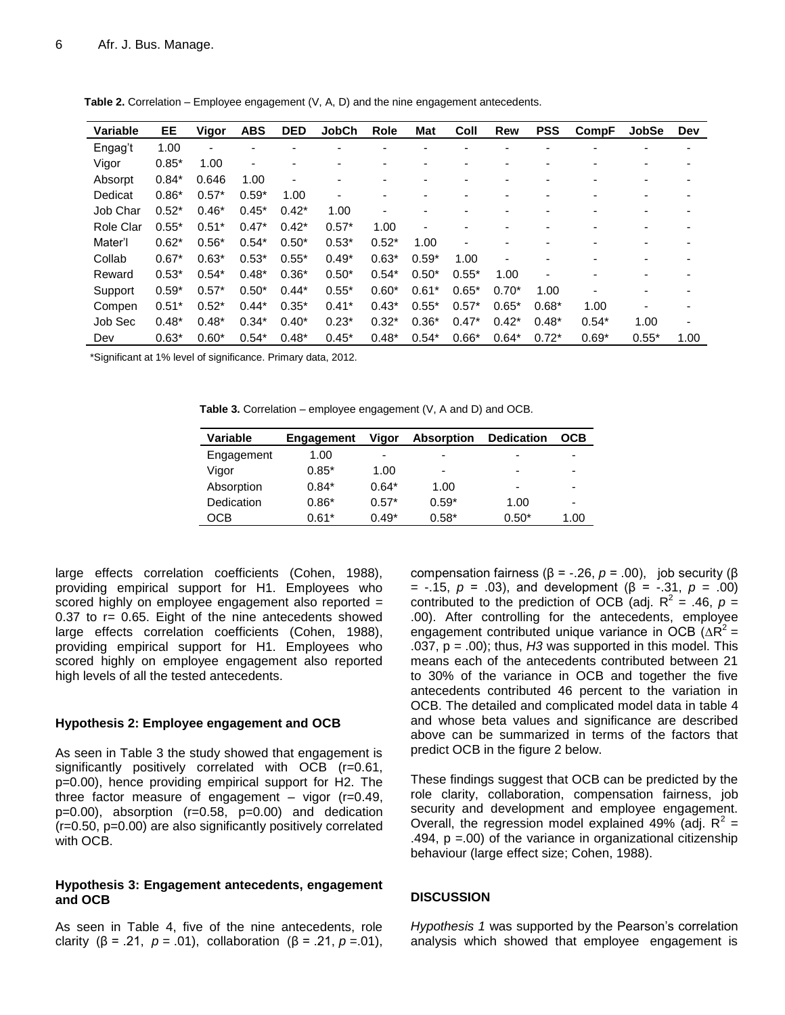| Variable  | EE      | Vigor   | <b>ABS</b> | <b>DED</b> | <b>JobCh</b>             | Role    | <b>Mat</b> | Coll    | Rew     | <b>PSS</b> | <b>CompF</b> | <b>JobSe</b>             | Dev                      |
|-----------|---------|---------|------------|------------|--------------------------|---------|------------|---------|---------|------------|--------------|--------------------------|--------------------------|
| Engag't   | 1.00    |         |            |            |                          |         |            |         |         |            |              |                          |                          |
| Vigor     | $0.85*$ | 1.00    | ۰          |            |                          |         |            |         |         |            |              |                          |                          |
| Absorpt   | $0.84*$ | 0.646   | 1.00       |            | $\overline{\phantom{0}}$ |         |            |         |         |            |              |                          |                          |
| Dedicat   | $0.86*$ | $0.57*$ | $0.59*$    | 1.00       | ٠                        |         |            |         |         |            |              |                          |                          |
| Job Char  | $0.52*$ | $0.46*$ | $0.45*$    | $0.42*$    | 1.00                     |         |            |         |         |            |              |                          |                          |
| Role Clar | $0.55*$ | $0.51*$ | $0.47*$    | $0.42*$    | $0.57*$                  | 1.00    |            |         |         |            |              |                          |                          |
| Mater'l   | $0.62*$ | $0.56*$ | $0.54*$    | $0.50*$    | $0.53*$                  | $0.52*$ | 1.00       |         |         |            |              |                          |                          |
| Collab    | $0.67*$ | $0.63*$ | $0.53*$    | $0.55*$    | $0.49*$                  | $0.63*$ | $0.59*$    | 1.00    | ٠       |            |              |                          |                          |
| Reward    | $0.53*$ | $0.54*$ | $0.48*$    | $0.36*$    | $0.50*$                  | $0.54*$ | $0.50*$    | $0.55*$ | 1.00    |            |              |                          |                          |
| Support   | $0.59*$ | $0.57*$ | $0.50*$    | $0.44*$    | $0.55*$                  | $0.60*$ | $0.61*$    | $0.65*$ | $0.70*$ | 1.00       |              | $\overline{\phantom{0}}$ |                          |
| Compen    | $0.51*$ | $0.52*$ | $0.44*$    | $0.35*$    | $0.41*$                  | $0.43*$ | $0.55*$    | $0.57*$ | $0.65*$ | $0.68*$    | 1.00         |                          |                          |
| Job Sec   | $0.48*$ | $0.48*$ | $0.34*$    | $0.40*$    | $0.23*$                  | $0.32*$ | $0.36*$    | $0.47*$ | $0.42*$ | $0.48*$    | $0.54*$      | 1.00                     | $\overline{\phantom{0}}$ |
| Dev       | $0.63*$ | $0.60*$ | $0.54*$    | $0.48*$    | $0.45*$                  | $0.48*$ | $0.54*$    | $0.66*$ | $0.64*$ | $0.72*$    | $0.69*$      | $0.55*$                  | 1.00                     |

**Table 2.** Correlation – Employee engagement (V, A, D) and the nine engagement antecedents.

\*Significant at 1% level of significance. Primary data, 2012.

**Table 3.** Correlation – employee engagement (V, A and D) and OCB.

| Variable   | Engagement | Vigor   | <b>Absorption</b>        | <b>Dedication</b>        | <b>OCB</b> |
|------------|------------|---------|--------------------------|--------------------------|------------|
| Engagement | 1.00       | ٠       | -                        | -                        | -          |
| Vigor      | $0.85*$    | 1.00    | $\overline{\phantom{0}}$ | $\overline{\phantom{0}}$ | ۰          |
| Absorption | $0.84*$    | $0.64*$ | 1.00                     | $\overline{\phantom{0}}$ | ۰          |
| Dedication | $0.86*$    | $0.57*$ | $0.59*$                  | 1.00                     | ٠          |
| ОСВ        | $0.61*$    | $0.49*$ | $0.58*$                  | $0.50*$                  | 1.00       |

large effects correlation coefficients (Cohen, 1988), providing empirical support for H1. Employees who scored highly on employee engagement also reported = 0.37 to r= 0.65. Eight of the nine antecedents showed large effects correlation coefficients (Cohen, 1988), providing empirical support for H1. Employees who scored highly on employee engagement also reported high levels of all the tested antecedents.

#### **Hypothesis 2: Employee engagement and OCB**

As seen in Table 3 the study showed that engagement is significantly positively correlated with OCB (r=0.61, p=0.00), hence providing empirical support for H2. The three factor measure of engagement – vigor (r=0.49,  $p=0.00$ ), absorption ( $r=0.58$ ,  $p=0.00$ ) and dedication (r=0.50, p=0.00) are also significantly positively correlated with OCB.

#### **Hypothesis 3: Engagement antecedents, engagement and OCB**

As seen in Table 4, five of the nine antecedents, role clarity (β = .21, *p* = .01), collaboration (β = .21, *p* = .01), compensation fairness ( $β = -.26, p = .00$ ), job security ( $β$ = -.15, *p* = .03), and development (β = -.31, *p* = .00) contributed to the prediction of OCB (adj.  $R^2 = .46$ ,  $p =$ .00). After controlling for the antecedents, employee engagement contributed unique variance in OCB  $(\Delta \vec{R}^2 =$ .037, p *=* .00); thus, *H3* was supported in this model. This means each of the antecedents contributed between 21 to 30% of the variance in OCB and together the five antecedents contributed 46 percent to the variation in OCB. The detailed and complicated model data in table 4 and whose beta values and significance are described above can be summarized in terms of the factors that predict OCB in the figure 2 below.

These findings suggest that OCB can be predicted by the role clarity, collaboration, compensation fairness, job security and development and employee engagement. Overall, the regression model explained 49% (adj.  $R^2 =$ .494, p =.00) of the variance in organizational citizenship behaviour (large effect size; Cohen, 1988).

#### **DISCUSSION**

*Hypothesis 1* was supported by the Pearson"s correlation analysis which showed that employee engagement is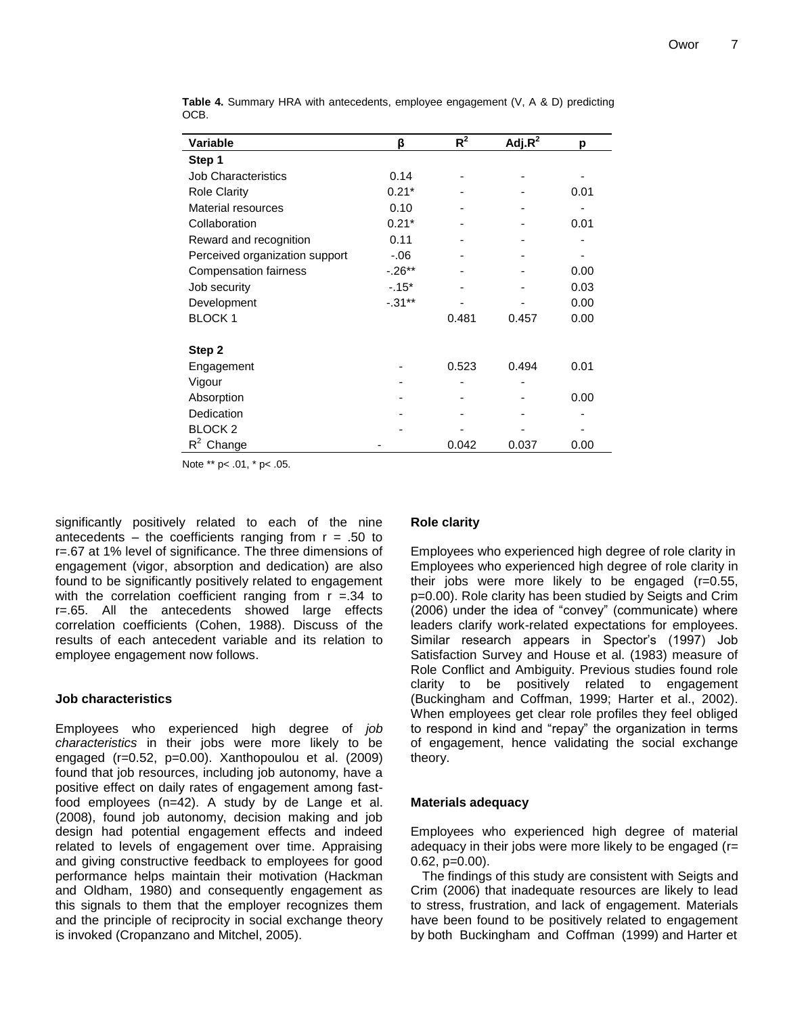| Variable                       | β         | $R^2$ | Adj. $R^2$ | р    |
|--------------------------------|-----------|-------|------------|------|
| Step 1                         |           |       |            |      |
| <b>Job Characteristics</b>     | 0.14      |       |            |      |
| <b>Role Clarity</b>            | $0.21*$   |       |            | 0.01 |
| Material resources             | 0.10      |       |            |      |
| Collaboration                  | $0.21*$   |       |            | 0.01 |
| Reward and recognition         | 0.11      |       |            |      |
| Perceived organization support | $-0.06$   |       |            |      |
| <b>Compensation fairness</b>   | $-0.26**$ |       |            | 0.00 |
| Job security                   | $-.15*$   |       |            | 0.03 |
| Development                    | $-.31**$  |       |            | 0.00 |
| <b>BLOCK1</b>                  |           | 0.481 | 0.457      | 0.00 |
|                                |           |       |            |      |
| Step 2                         |           |       |            |      |
| Engagement                     |           | 0.523 | 0.494      | 0.01 |
| Vigour                         |           |       |            |      |
| Absorption                     |           |       |            | 0.00 |
| Dedication                     |           |       |            |      |
| <b>BLOCK 2</b>                 |           |       |            |      |
| $R^2$ Change                   |           | 0.042 | 0.037      | 0.00 |

**Table 4.** Summary HRA with antecedents, employee engagement (V, A & D) predicting OCB.

Note \*\* p< .01, \* p< .05.

significantly positively related to each of the nine antecedents – the coefficients ranging from  $r = .50$  to r=.67 at 1% level of significance. The three dimensions of engagement (vigor, absorption and dedication) are also found to be significantly positively related to engagement with the correlation coefficient ranging from  $r = 34$  to r=.65. All the antecedents showed large effects correlation coefficients (Cohen, 1988). Discuss of the results of each antecedent variable and its relation to employee engagement now follows.

#### **Job characteristics**

Employees who experienced high degree of *job characteristics* in their jobs were more likely to be engaged (r=0.52, p=0.00). Xanthopoulou et al. (2009) found that job resources, including job autonomy, have a positive effect on daily rates of engagement among fastfood employees (n=42). A study by de Lange et al. (2008), found job autonomy, decision making and job design had potential engagement effects and indeed related to levels of engagement over time. Appraising and giving constructive feedback to employees for good performance helps maintain their motivation (Hackman and Oldham, 1980) and consequently engagement as this signals to them that the employer recognizes them and the principle of reciprocity in social exchange theory is invoked (Cropanzano and Mitchel, 2005).

#### **Role clarity**

Employees who experienced high degree of role clarity in Employees who experienced high degree of role clarity in their jobs were more likely to be engaged (r=0.55, p=0.00). Role clarity has been studied by Seigts and Crim (2006) under the idea of "convey" (communicate) where leaders clarify work-related expectations for employees. Similar research appears in Spector's (1997) Job Satisfaction Survey and House et al. (1983) measure of Role Conflict and Ambiguity. Previous studies found role clarity to be positively related to engagement (Buckingham and Coffman, 1999; Harter et al., 2002). When employees get clear role profiles they feel obliged to respond in kind and "repay" the organization in terms of engagement, hence validating the social exchange theory.

#### **Materials adequacy**

Employees who experienced high degree of material adequacy in their jobs were more likely to be engaged (r= 0.62, p=0.00).

The findings of this study are consistent with Seigts and Crim (2006) that inadequate resources are likely to lead to stress, frustration, and lack of engagement. Materials have been found to be positively related to engagement by both Buckingham and Coffman (1999) and Harter et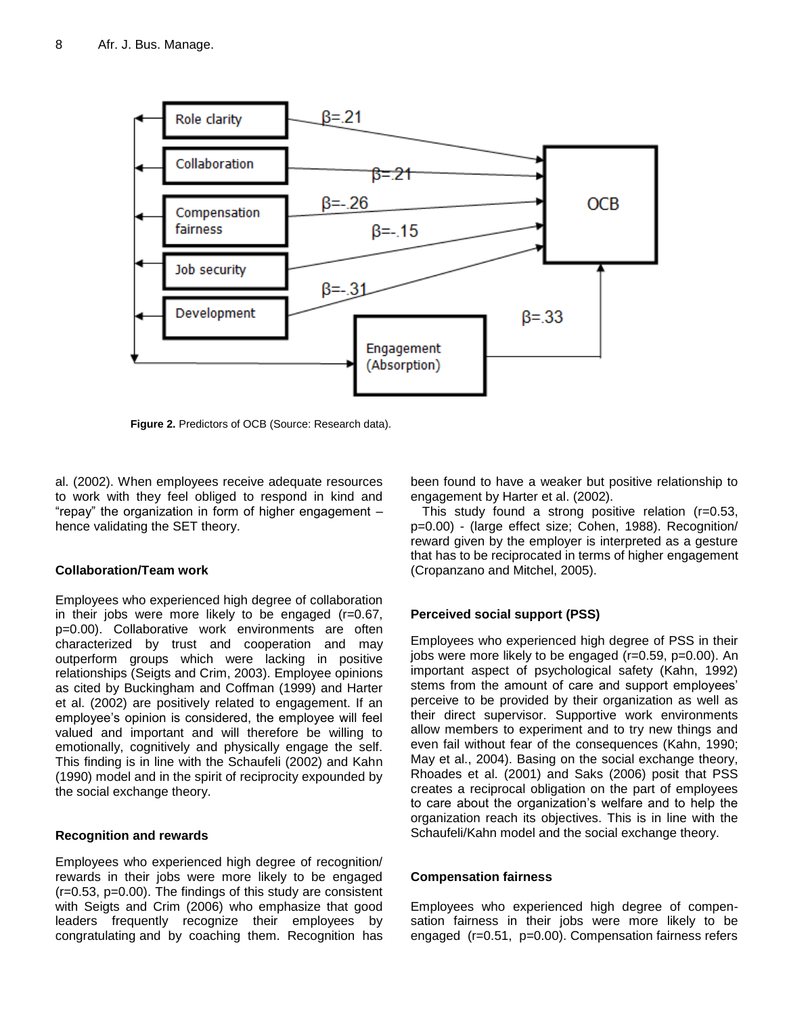

**Figure 2.** Predictors of OCB (Source: Research data).

al. (2002). When employees receive adequate resources to work with they feel obliged to respond in kind and "repay" the organization in form of higher engagement – hence validating the SET theory.

# **Collaboration/Team work**

Employees who experienced high degree of collaboration in their jobs were more likely to be engaged  $(r=0.67)$ , p=0.00). Collaborative work environments are often characterized by trust and cooperation and may outperform groups which were lacking in positive relationships (Seigts and Crim, 2003). Employee opinions as cited by Buckingham and Coffman (1999) and Harter et al. (2002) are positively related to engagement. If an employee"s opinion is considered, the employee will feel valued and important and will therefore be willing to emotionally, cognitively and physically engage the self. This finding is in line with the Schaufeli (2002) and Kahn (1990) model and in the spirit of reciprocity expounded by the social exchange theory.

# **Recognition and rewards**

Employees who experienced high degree of recognition/ rewards in their jobs were more likely to be engaged (r=0.53, p=0.00). The findings of this study are consistent with Seigts and Crim (2006) who emphasize that good leaders frequently recognize their employees by congratulating and by coaching them. Recognition has

been found to have a weaker but positive relationship to engagement by Harter et al. (2002).

This study found a strong positive relation (r=0.53, p=0.00) - (large effect size; Cohen, 1988). Recognition/ reward given by the employer is interpreted as a gesture that has to be reciprocated in terms of higher engagement (Cropanzano and Mitchel, 2005).

# **Perceived social support (PSS)**

Employees who experienced high degree of PSS in their jobs were more likely to be engaged (r=0.59, p=0.00). An important aspect of psychological safety (Kahn, 1992) stems from the amount of care and support employees" perceive to be provided by their organization as well as their direct supervisor. Supportive work environments allow members to experiment and to try new things and even fail without fear of the consequences (Kahn, 1990; May et al., 2004). Basing on the social exchange theory, Rhoades et al. (2001) and Saks (2006) posit that PSS creates a reciprocal obligation on the part of employees to care about the organization"s welfare and to help the organization reach its objectives. This is in line with the Schaufeli/Kahn model and the social exchange theory.

# **Compensation fairness**

Employees who experienced high degree of compensation fairness in their jobs were more likely to be engaged (r=0.51, p=0.00). Compensation fairness refers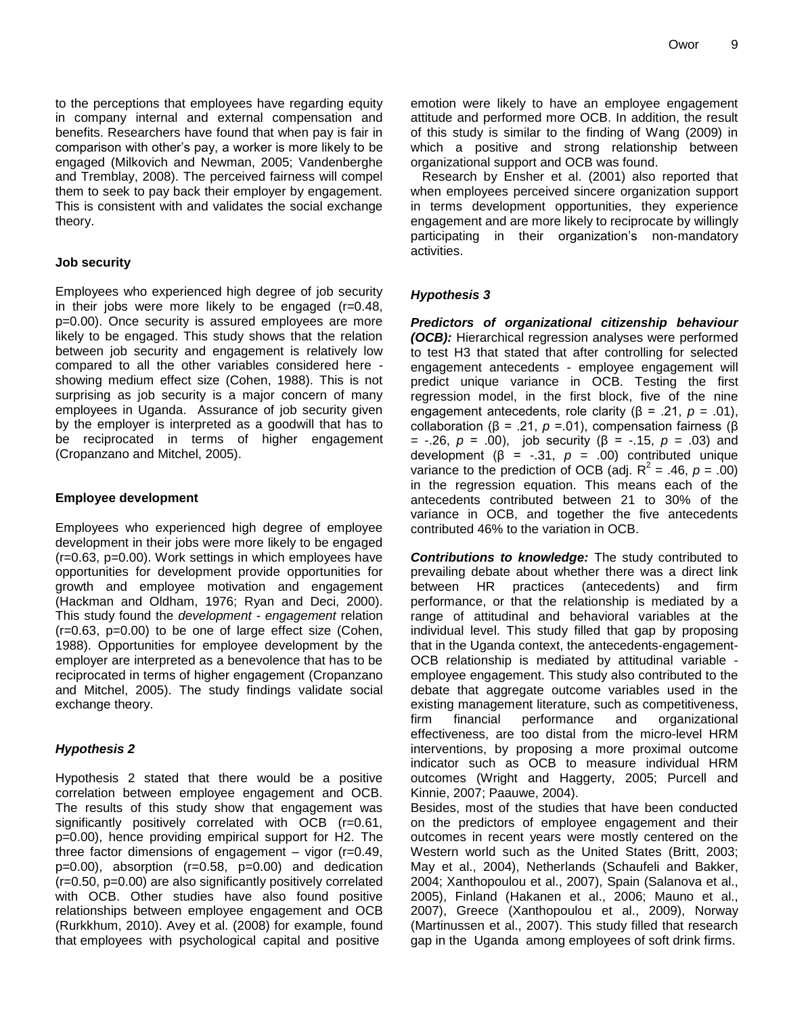to the perceptions that employees have regarding equity in company internal and external compensation and benefits. Researchers have found that when pay is fair in comparison with other"s pay, a worker is more likely to be engaged (Milkovich and Newman, 2005; Vandenberghe and Tremblay, 2008). The perceived fairness will compel them to seek to pay back their employer by engagement. This is consistent with and validates the social exchange theory.

# **Job security**

Employees who experienced high degree of job security in their jobs were more likely to be engaged (r=0.48, p=0.00). Once security is assured employees are more likely to be engaged. This study shows that the relation between job security and engagement is relatively low compared to all the other variables considered here showing medium effect size (Cohen, 1988). This is not surprising as job security is a major concern of many employees in Uganda. Assurance of job security given by the employer is interpreted as a goodwill that has to be reciprocated in terms of higher engagement (Cropanzano and Mitchel, 2005).

#### **Employee development**

Employees who experienced high degree of employee development in their jobs were more likely to be engaged (r=0.63, p=0.00). Work settings in which employees have opportunities for development provide opportunities for growth and employee motivation and engagement (Hackman and Oldham, 1976; Ryan and Deci, 2000). This study found the *development - engagement* relation  $(r=0.63, p=0.00)$  to be one of large effect size (Cohen, 1988). Opportunities for employee development by the employer are interpreted as a benevolence that has to be reciprocated in terms of higher engagement (Cropanzano and Mitchel, 2005). The study findings validate social exchange theory.

# *Hypothesis 2*

Hypothesis 2 stated that there would be a positive correlation between employee engagement and OCB. The results of this study show that engagement was significantly positively correlated with OCB (r=0.61, p=0.00), hence providing empirical support for H2. The three factor dimensions of engagement – vigor (r=0.49,  $p=0.00$ ), absorption ( $r=0.58$ ,  $p=0.00$ ) and dedication (r=0.50, p=0.00) are also significantly positively correlated with OCB. Other studies have also found positive relationships between employee engagement and OCB (Rurkkhum, 2010). Avey et al. (2008) for example, found that employees with psychological capital and positive

emotion were likely to have an employee engagement attitude and performed more OCB. In addition, the result of this study is similar to the finding of Wang (2009) in which a positive and strong relationship between organizational support and OCB was found.

Research by Ensher et al. (2001) also reported that when employees perceived sincere organization support in terms development opportunities, they experience engagement and are more likely to reciprocate by willingly participating in their organization"s non-mandatory activities.

# *Hypothesis 3*

*Predictors of organizational citizenship behaviour (OCB):* Hierarchical regression analyses were performed to test H3 that stated that after controlling for selected engagement antecedents - employee engagement will predict unique variance in OCB. Testing the first regression model, in the first block, five of the nine engagement antecedents, role clarity (β = .21, *p* = .01), collaboration ( $\beta$  = .21,  $\rho$  =.01), compensation fairness ( $\beta$ = -.26, *p* = .00), job security (β = -.15, *p* = .03) and development  $(\beta = -.31, p = .00)$  contributed unique variance to the prediction of OCB (adj.  $R^2 = .46$ ,  $p = .00$ ) in the regression equation. This means each of the antecedents contributed between 21 to 30% of the variance in OCB, and together the five antecedents contributed 46% to the variation in OCB.

*Contributions to knowledge:* The study contributed to prevailing debate about whether there was a direct link between HR practices (antecedents) and firm performance, or that the relationship is mediated by a range of attitudinal and behavioral variables at the individual level. This study filled that gap by proposing that in the Uganda context, the antecedents-engagement-OCB relationship is mediated by attitudinal variable employee engagement. This study also contributed to the debate that aggregate outcome variables used in the existing management literature, such as competitiveness, firm financial performance and organizational effectiveness, are too distal from the micro-level HRM interventions, by proposing a more proximal outcome indicator such as OCB to measure individual HRM outcomes (Wright and Haggerty, 2005; Purcell and Kinnie, 2007; Paauwe, 2004).

Besides, most of the studies that have been conducted on the predictors of employee engagement and their outcomes in recent years were mostly centered on the Western world such as the United States (Britt, 2003; May et al., 2004), Netherlands (Schaufeli and Bakker, 2004; Xanthopoulou et al., 2007), Spain (Salanova et al., 2005), Finland (Hakanen et al., 2006; Mauno et al., 2007), Greece (Xanthopoulou et al., 2009), Norway (Martinussen et al., 2007). This study filled that research gap in the Uganda among employees of soft drink firms.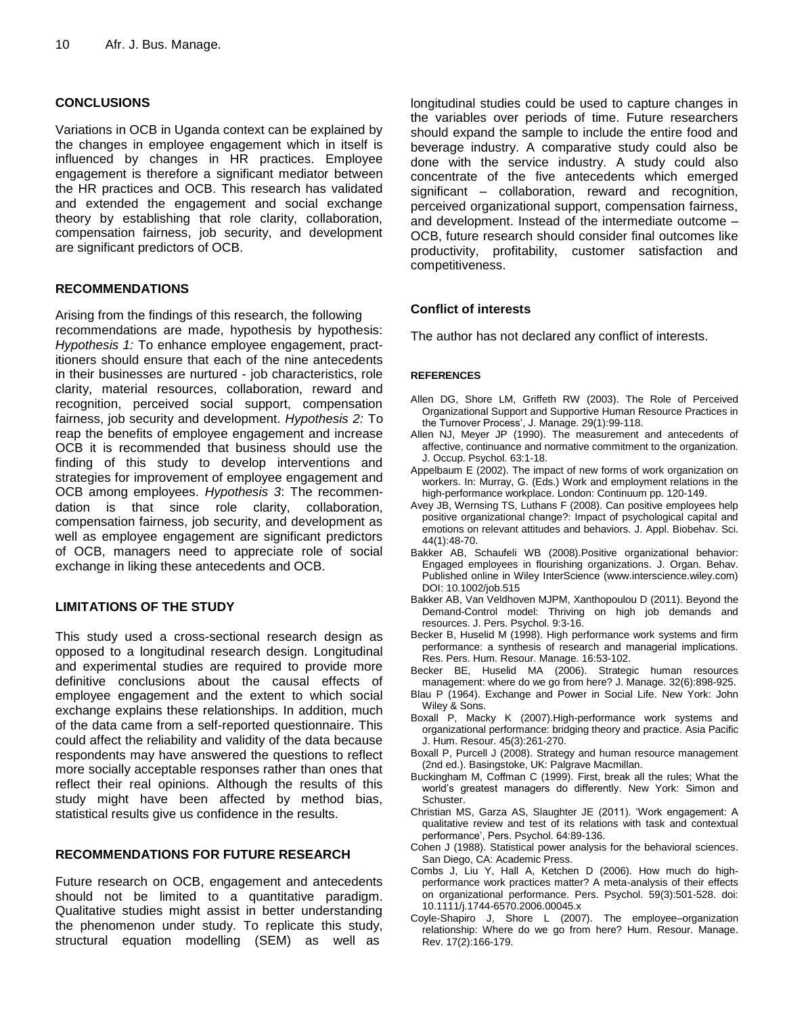# **CONCLUSIONS**

Variations in OCB in Uganda context can be explained by the changes in employee engagement which in itself is influenced by changes in HR practices. Employee engagement is therefore a significant mediator between the HR practices and OCB. This research has validated and extended the engagement and social exchange theory by establishing that role clarity, collaboration, compensation fairness, job security, and development are significant predictors of OCB.

# **RECOMMENDATIONS**

Arising from the findings of this research, the following recommendations are made, hypothesis by hypothesis: *Hypothesis 1:* To enhance employee engagement, practitioners should ensure that each of the nine antecedents in their businesses are nurtured - job characteristics, role clarity, material resources, collaboration, reward and recognition, perceived social support, compensation fairness, job security and development. *Hypothesis 2:* To reap the benefits of employee engagement and increase OCB it is recommended that business should use the finding of this study to develop interventions and strategies for improvement of employee engagement and OCB among employees. *Hypothesis 3*: The recommendation is that since role clarity, collaboration, compensation fairness, job security, and development as well as employee engagement are significant predictors of OCB, managers need to appreciate role of social exchange in liking these antecedents and OCB.

# **LIMITATIONS OF THE STUDY**

This study used a cross-sectional research design as opposed to a longitudinal research design. Longitudinal and experimental studies are required to provide more definitive conclusions about the causal effects of employee engagement and the extent to which social exchange explains these relationships. In addition, much of the data came from a self-reported questionnaire. This could affect the reliability and validity of the data because respondents may have answered the questions to reflect more socially acceptable responses rather than ones that reflect their real opinions. Although the results of this study might have been affected by method bias, statistical results give us confidence in the results.

# **RECOMMENDATIONS FOR FUTURE RESEARCH**

Future research on OCB, engagement and antecedents should not be limited to a quantitative paradigm. Qualitative studies might assist in better understanding the phenomenon under study. To replicate this study, structural equation modelling (SEM) as well as

longitudinal studies could be used to capture changes in the variables over periods of time. Future researchers should expand the sample to include the entire food and beverage industry. A comparative study could also be done with the service industry. A study could also concentrate of the five antecedents which emerged significant – collaboration, reward and recognition, perceived organizational support, compensation fairness, and development. Instead of the intermediate outcome – OCB, future research should consider final outcomes like productivity, profitability, customer satisfaction and competitiveness.

# **Conflict of interests**

The author has not declared any conflict of interests.

#### **REFERENCES**

- Allen DG, Shore LM, Griffeth RW (2003). The Role of Perceived Organizational Support and Supportive Human Resource Practices in the Turnover Process', J. Manage. 29(1):99-118.
- Allen NJ, Meyer JP (1990). The measurement and antecedents of affective, continuance and normative commitment to the organization. J. Occup. Psychol. 63:1-18.
- Appelbaum E (2002). The impact of new forms of work organization on workers. In: Murray, G. (Eds.) Work and employment relations in the high-performance workplace. London: Continuum pp. 120-149.
- Avey JB, Wernsing TS, Luthans F (2008). Can positive employees help positive organizational change?: Impact of psychological capital and emotions on relevant attitudes and behaviors. J. Appl. Biobehav. Sci. 44(1):48-70.
- Bakker AB, Schaufeli WB (2008).Positive organizational behavior: Engaged employees in flourishing organizations. J. Organ. Behav. Published online in Wiley InterScience (www.interscience.wiley.com) DOI: 10.1002/job.515
- Bakker AB, Van Veldhoven MJPM, Xanthopoulou D (2011). Beyond the Demand-Control model: Thriving on high job demands and resources. J. Pers. Psychol. 9:3-16.
- Becker B, Huselid M (1998). High performance work systems and firm performance: a synthesis of research and managerial implications. Res. Pers. Hum. Resour. Manage. 16:53-102.
- Becker BE, Huselid MA (2006). Strategic human resources management: where do we go from here? J. Manage. 32(6):898-925.
- Blau P (1964). Exchange and Power in Social Life. New York: John Wiley & Sons.
- Boxall P, Macky K (2007).High-performance work systems and organizational performance: bridging theory and practice. Asia Pacific J. Hum. Resour. 45(3):261-270.
- Boxall P, Purcell J (2008). Strategy and human resource management (2nd ed.). Basingstoke, UK: Palgrave Macmillan.
- Buckingham M, Coffman C (1999). First, break all the rules; What the world"s greatest managers do differently. New York: Simon and Schuster.
- Christian MS, Garza AS, Slaughter JE (2011). "Work engagement: A qualitative review and test of its relations with task and contextual performance", Pers. Psychol. 64:89-136.
- Cohen J (1988). Statistical power analysis for the behavioral sciences. San Diego, CA: Academic Press.
- Combs J, Liu Y, Hall A, Ketchen D (2006). How much do highperformance work practices matter? A meta-analysis of their effects on organizational performance. Pers. Psychol. 59(3):501-528. doi: 10.1111/j.1744-6570.2006.00045.x
- Coyle-Shapiro J, Shore L (2007). The employee–organization relationship: Where do we go from here? Hum. Resour. Manage. Rev. 17(2):166-179.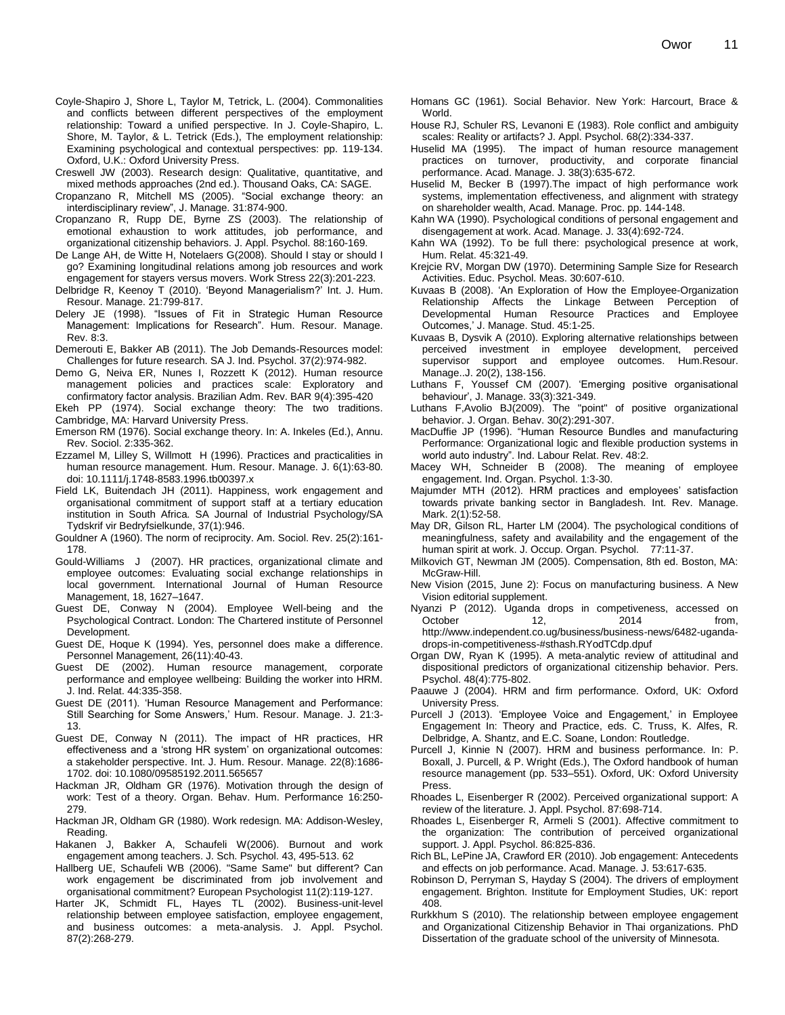- Coyle-Shapiro J, Shore L, Taylor M, Tetrick, L. (2004). Commonalities and conflicts between different perspectives of the employment relationship: Toward a unified perspective. In J. Coyle-Shapiro, L. Shore, M. Taylor, & L. Tetrick (Eds.), The employment relationship: Examining psychological and contextual perspectives: pp. 119-134. Oxford, U.K.: Oxford University Press.
- Creswell JW (2003). Research design: Qualitative, quantitative, and mixed methods approaches (2nd ed.). Thousand Oaks, CA: SAGE.
- Cropanzano R, Mitchell MS (2005). "Social exchange theory: an interdisciplinary review", J. Manage. 31:874-900.
- Cropanzano R, Rupp DE, Byrne ZS (2003). The relationship of emotional exhaustion to work attitudes, job performance, and organizational citizenship behaviors. J. Appl. Psychol. 88:160-169.
- De Lange AH, de Witte H, Notelaers G(2008). Should I stay or should I go? Examining longitudinal relations among job resources and work engagement for stayers versus movers. Work Stress 22(3):201-223.
- Delbridge R, Keenoy T (2010). "Beyond Managerialism?" Int. J. Hum. Resour. Manage. 21:799-817.
- Delery JE (1998). "Issues of Fit in Strategic Human Resource Management: Implications for Research". Hum. Resour. Manage. Rev. 8:3.
- Demerouti E, Bakker AB (2011). The Job Demands-Resources model: Challenges for future research. SA J. Ind. Psychol. 37(2):974-982.
- Demo G, Neiva ER, Nunes I, Rozzett K (2012). Human resource management policies and practices scale: Exploratory and confirmatory factor analysis. Brazilian Adm. Rev. BAR 9(4):395-420
- Ekeh PP (1974). Social exchange theory: The two traditions. Cambridge, MA: Harvard University Press.
- Emerson RM (1976). Social exchange theory. In: A. Inkeles (Ed.), Annu. Rev. Sociol. 2:335-362.
- Ezzamel M, Lilley S, Willmott H (1996). Practices and practicalities in human resource management. Hum. Resour. Manage. J. 6(1):63-80. doi: 10.1111/j.1748-8583.1996.tb00397.x
- Field LK, Buitendach JH (2011). Happiness, work engagement and organisational commitment of support staff at a tertiary education institution in South Africa. SA Journal of Industrial Psychology/SA Tydskrif vir Bedryfsielkunde, 37(1):946.
- Gouldner A (1960). The norm of reciprocity. Am. Sociol. Rev. 25(2):161- 178.
- Gould-Williams J (2007). HR practices, organizational climate and employee outcomes: Evaluating social exchange relationships in local government. International Journal of Human Resource Management, 18, 1627–1647.
- Guest DE, Conway N (2004). Employee Well-being and the Psychological Contract. London: The Chartered institute of Personnel Development.
- Guest DE, Hoque K (1994). Yes, personnel does make a difference. Personnel Management, 26(11):40-43.
- Guest DE (2002). Human resource management, corporate performance and employee wellbeing: Building the worker into HRM. J. Ind. Relat. 44:335-358.
- Guest DE (2011). "Human Resource Management and Performance: Still Searching for Some Answers,' Hum. Resour. Manage. J. 21:3-13.
- Guest DE, Conway N (2011). The impact of HR practices, HR effectiveness and a "strong HR system" on organizational outcomes: a stakeholder perspective. Int. J. Hum. Resour. Manage. 22(8):1686- 1702. doi: 10.1080/09585192.2011.565657
- Hackman JR, Oldham GR (1976). Motivation through the design of work: Test of a theory. Organ. Behav. Hum. Performance 16:250- 279.
- Hackman JR, Oldham GR (1980). Work redesign. MA: Addison-Wesley, Reading.
- Hakanen J, Bakker A, Schaufeli W(2006). Burnout and work engagement among teachers. J. Sch. Psychol. 43, 495-513. 62
- Hallberg UE, Schaufeli WB (2006). "Same Same" but different? Can work engagement be discriminated from job involvement and organisational commitment? European Psychologist 11(2):119-127.
- Harter JK, Schmidt FL, Hayes TL (2002). Business-unit-level relationship between employee satisfaction, employee engagement, and business outcomes: a meta-analysis. J. Appl. Psychol. 87(2):268-279.
- Homans GC (1961). Social Behavior. New York: Harcourt, Brace & World.
- House RJ, Schuler RS, Levanoni E (1983). Role conflict and ambiguity scales: Reality or artifacts? J. Appl. Psychol. 68(2):334-337.
- Huselid MA (1995). The impact of human resource management practices on turnover, productivity, and corporate financial performance. Acad. Manage. J. 38(3):635-672.
- Huselid M, Becker B (1997).The impact of high performance work systems, implementation effectiveness, and alignment with strategy on shareholder wealth, Acad. Manage. Proc. pp. 144-148.
- Kahn WA (1990). Psychological conditions of personal engagement and disengagement at work. Acad. Manage. J. 33(4):692-724.
- Kahn WA (1992). To be full there: psychological presence at work, Hum. Relat. 45:321-49.
- Krejcie RV, Morgan DW (1970). Determining Sample Size for Research Activities. Educ. Psychol. Meas. 30:607-610.
- Kuvaas B (2008). "An Exploration of How the Employee-Organization Relationship Affects the Linkage Between Perception of Developmental Human Resource Practices and Employee Outcomes," J. Manage. Stud. 45:1-25.
- Kuvaas B, Dysvik A (2010). Exploring alternative relationships between perceived investment in employee development, perceived supervisor support and employee outcomes. Hum.Resour. Manage..J. 20(2), 138-156.
- Luthans F, Youssef CM (2007). "Emerging positive organisational behaviour", J. Manage. 33(3):321-349.
- Luthans F,Avolio BJ(2009). The "point" of positive organizational behavior. J. Organ. Behav. 30(2):291-307.
- MacDuffie JP (1996). "Human Resource Bundles and manufacturing Performance: Organizational logic and flexible production systems in world auto industry". Ind. Labour Relat. Rev. 48:2.
- Macey WH, Schneider B (2008). The meaning of employee engagement. Ind. Organ. Psychol. 1:3-30.
- Majumder MTH (2012). HRM practices and employees" satisfaction towards private banking sector in Bangladesh. Int. Rev. Manage. Mark. 2(1):52-58.
- May DR, Gilson RL, Harter LM (2004). The psychological conditions of meaningfulness, safety and availability and the engagement of the human spirit at work. J. Occup. Organ. Psychol. 77:11-37.
- Milkovich GT, Newman JM (2005). Compensation, 8th ed. Boston, MA: McGraw-Hill.
- New Vision (2015, June 2): Focus on manufacturing business. A New Vision editorial supplement.
- Nyanzi P (2012). Uganda drops in competiveness, accessed on October 12, 2014 from, http://www.independent.co.ug/business/business-news/6482-ugandadrops-in-competitiveness-#sthash.RYodTCdp.dpuf
- Organ DW, Ryan K (1995). A meta-analytic review of attitudinal and dispositional predictors of organizational citizenship behavior. Pers. Psychol. 48(4):775-802.
- Paauwe J (2004). HRM and firm performance. Oxford, UK: Oxford University Press.
- Purcell J (2013). 'Employee Voice and Engagement,' in Employee Engagement In: Theory and Practice, eds. C. Truss, K. Alfes, R. Delbridge, A. Shantz, and E.C. Soane, London: Routledge.
- Purcell J, Kinnie N (2007). HRM and business performance. In: P. Boxall, J. Purcell, & P. Wright (Eds.), The Oxford handbook of human resource management (pp. 533–551). Oxford, UK: Oxford University Press.
- Rhoades L, Eisenberger R (2002). Perceived organizational support: A review of the literature. J. Appl. Psychol. 87:698-714.
- Rhoades L, Eisenberger R, Armeli S (2001). Affective commitment to the organization: The contribution of perceived organizational support. J. Appl. Psychol. 86:825-836.
- Rich BL, LePine JA, Crawford ER (2010). Job engagement: Antecedents and effects on job performance. Acad. Manage. J. 53:617-635.
- Robinson D, Perryman S, Hayday S (2004). The drivers of employment engagement. Brighton. Institute for Employment Studies, UK: report 408.
- Rurkkhum S (2010). The relationship between employee engagement and Organizational Citizenship Behavior in Thai organizations. PhD Dissertation of the graduate school of the university of Minnesota.